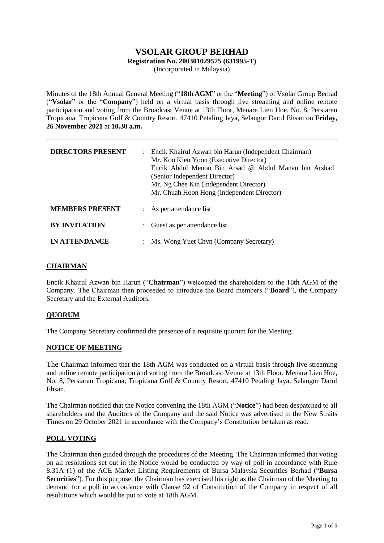# **VSOLAR GROUP BERHAD Registration No. 200301029575 (631995-T)**

(Incorporated in Malaysia)

Minutes of the 18th Annual General Meeting ("**18thAGM**" or the "**Meeting**") of Vsolar Group Berhad ("**Vsolar**" or the "**Company**") held on a virtual basis through live streaming and online remote participation and voting from the Broadcast Venue at 13th Floor, Menara Lien Hoe, No. 8, Persiaran Tropicana, Tropicana Golf & Country Resort, 47410 Petaling Jaya, Selangor Darul Ehsan on **Friday, 26 November 2021** at **10.30 a.m.**

| <b>DIRECTORS PRESENT</b> | $\mathcal{L}$             | Encik Khairul Azwan bin Harun (Independent Chairman)<br>Mr. Koo Kien Yoon (Executive Director)<br>Encik Abdul Menon Bin Arsad @ Abdul Manan bin Arshad<br>(Senior Independent Director)<br>Mr. Ng Chee Kin (Independent Director)<br>Mr. Chuah Hoon Hong (Independent Director) |
|--------------------------|---------------------------|---------------------------------------------------------------------------------------------------------------------------------------------------------------------------------------------------------------------------------------------------------------------------------|
| <b>MEMBERS PRESENT</b>   | $\mathbb{R}^n$            | As per attendance list                                                                                                                                                                                                                                                          |
| <b>BY INVITATION</b>     | $\mathbb{R}^{\mathbb{Z}}$ | Guest as per attendance list                                                                                                                                                                                                                                                    |
| <b>IN ATTENDANCE</b>     |                           | Ms. Wong Yuet Chyn (Company Secretary)                                                                                                                                                                                                                                          |

## **CHAIRMAN**

Encik Khairul Azwan bin Harun ("**Chairman**") welcomed the shareholders to the 18th AGM of the Company. The Chairman then proceeded to introduce the Board members ("**Board**"), the Company Secretary and the External Auditors.

## **QUORUM**

The Company Secretary confirmed the presence of a requisite quorum for the Meeting.

## **NOTICE OF MEETING**

The Chairman informed that the 18th AGM was conducted on a virtual basis through live streaming and online remote participation and voting from the Broadcast Venue at 13th Floor, Menara Lien Hoe, No. 8, Persiaran Tropicana, Tropicana Golf & Country Resort, 47410 Petaling Jaya, Selangor Darul Ehsan.

The Chairman notified that the Notice convening the 18th AGM ("**Notice**") had been despatched to all shareholders and the Auditors of the Company and the said Notice was advertised in the New Straits Times on 29 October 2021 in accordance with the Company's Constitution be taken as read.

## **POLL VOTING**

The Chairman then guided through the procedures of the Meeting. The Chairman informed that voting on all resolutions set out in the Notice would be conducted by way of poll in accordance with Rule 8.31A (1) of the ACE Market Listing Requirements of Bursa Malaysia Securities Berhad ("**Bursa Securities**"). For this purpose, the Chairman has exercised his right as the Chairman of the Meeting to demand for a poll in accordance with Clause 92 of Constitution of the Company in respect of all resolutions which would be put to vote at 18th AGM.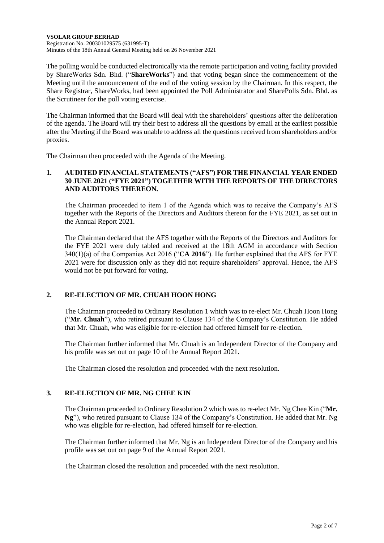**VSOLAR GROUP BERHAD** Registration No. 200301029575 (631995-T) Minutes of the 18th Annual General Meeting held on 26 November 2021

The polling would be conducted electronically via the remote participation and voting facility provided by ShareWorks Sdn. Bhd. ("**ShareWorks**") and that voting began since the commencement of the Meeting until the announcement of the end of the voting session by the Chairman. In this respect, the Share Registrar, ShareWorks, had been appointed the Poll Administrator and SharePolls Sdn. Bhd. as the Scrutineer for the poll voting exercise.

The Chairman informed that the Board will deal with the shareholders' questions after the deliberation of the agenda. The Board will try their best to address all the questions by email at the earliest possible after the Meeting if the Board was unable to address all the questions received from shareholders and/or proxies.

The Chairman then proceeded with the Agenda of the Meeting.

## **1. AUDITED FINANCIAL STATEMENTS ("AFS") FOR THE FINANCIAL YEAR ENDED 30 JUNE 2021 ("FYE 2021") TOGETHER WITH THE REPORTS OF THE DIRECTORS AND AUDITORS THEREON.**

The Chairman proceeded to item 1 of the Agenda which was to receive the Company's AFS together with the Reports of the Directors and Auditors thereon for the FYE 2021, as set out in the Annual Report 2021.

The Chairman declared that the AFS together with the Reports of the Directors and Auditors for the FYE 2021 were duly tabled and received at the 18th AGM in accordance with Section 340(1)(a) of the Companies Act 2016 ("**CA 2016**"). He further explained that the AFS for FYE 2021 were for discussion only as they did not require shareholders' approval. Hence, the AFS would not be put forward for voting.

# **2. RE-ELECTION OF MR. CHUAH HOON HONG**

The Chairman proceeded to Ordinary Resolution 1 which was to re-elect Mr. Chuah Hoon Hong ("**Mr. Chuah**"), who retired pursuant to Clause 134 of the Company's Constitution. He added that Mr. Chuah, who was eligible for re-election had offered himself for re-election.

The Chairman further informed that Mr. Chuah is an Independent Director of the Company and his profile was set out on page 10 of the Annual Report 2021.

The Chairman closed the resolution and proceeded with the next resolution.

## **3. RE-ELECTION OF MR. NG CHEE KIN**

The Chairman proceeded to Ordinary Resolution 2 which was to re-elect Mr. Ng Chee Kin ("**Mr. Ng**"), who retired pursuant to Clause 134 of the Company's Constitution. He added that Mr. Ng who was eligible for re-election, had offered himself for re-election.

The Chairman further informed that Mr. Ng is an Independent Director of the Company and his profile was set out on page 9 of the Annual Report 2021.

The Chairman closed the resolution and proceeded with the next resolution.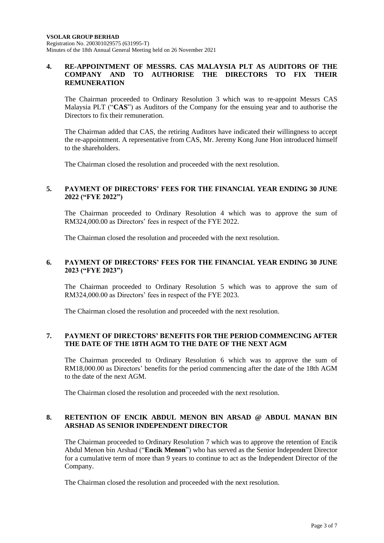## **4. RE-APPOINTMENT OF MESSRS. CAS MALAYSIA PLT AS AUDITORS OF THE COMPANY AND TO AUTHORISE THE DIRECTORS TO FIX THEIR REMUNERATION**

The Chairman proceeded to Ordinary Resolution 3 which was to re-appoint Messrs CAS Malaysia PLT ("**CAS**") as Auditors of the Company for the ensuing year and to authorise the Directors to fix their remuneration.

The Chairman added that CAS, the retiring Auditors have indicated their willingness to accept the re-appointment. A representative from CAS, Mr. Jeremy Kong June Hon introduced himself to the shareholders.

The Chairman closed the resolution and proceeded with the next resolution.

## **5. PAYMENT OF DIRECTORS' FEES FOR THE FINANCIAL YEAR ENDING 30 JUNE 2022 ("FYE 2022")**

The Chairman proceeded to Ordinary Resolution 4 which was to approve the sum of RM324,000.00 as Directors' fees in respect of the FYE 2022.

The Chairman closed the resolution and proceeded with the next resolution.

## **6. PAYMENT OF DIRECTORS' FEES FOR THE FINANCIAL YEAR ENDING 30 JUNE 2023 ("FYE 2023")**

The Chairman proceeded to Ordinary Resolution 5 which was to approve the sum of RM324,000.00 as Directors' fees in respect of the FYE 2023.

The Chairman closed the resolution and proceeded with the next resolution.

## **7. PAYMENT OF DIRECTORS' BENEFITS FOR THE PERIOD COMMENCING AFTER THE DATE OF THE 18TH AGM TO THE DATE OF THE NEXT AGM**

The Chairman proceeded to Ordinary Resolution 6 which was to approve the sum of RM18,000.00 as Directors' benefits for the period commencing after the date of the 18th AGM to the date of the next AGM.

The Chairman closed the resolution and proceeded with the next resolution.

## **8. RETENTION OF ENCIK ABDUL MENON BIN ARSAD @ ABDUL MANAN BIN ARSHAD AS SENIOR INDEPENDENT DIRECTOR**

The Chairman proceeded to Ordinary Resolution 7 which was to approve the retention of Encik Abdul Menon bin Arshad ("**Encik Menon**") who has served as the Senior Independent Director for a cumulative term of more than 9 years to continue to act as the Independent Director of the Company.

The Chairman closed the resolution and proceeded with the next resolution.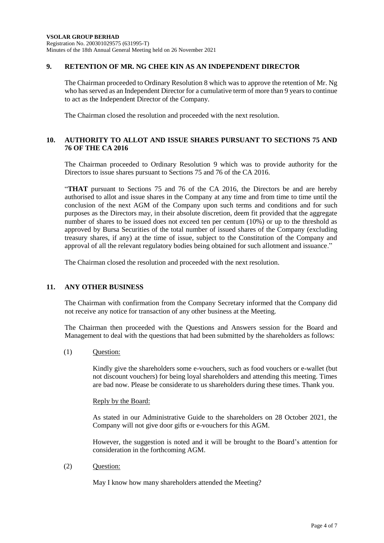## **9. RETENTION OF MR. NG CHEE KIN AS AN INDEPENDENT DIRECTOR**

The Chairman proceeded to Ordinary Resolution 8 which was to approve the retention of Mr. Ng who has served as an Independent Director for a cumulative term of more than 9 years to continue to act as the Independent Director of the Company.

The Chairman closed the resolution and proceeded with the next resolution.

## **10. AUTHORITY TO ALLOT AND ISSUE SHARES PURSUANT TO SECTIONS 75 AND 76 OF THE CA 2016**

The Chairman proceeded to Ordinary Resolution 9 which was to provide authority for the Directors to issue shares pursuant to Sections 75 and 76 of the CA 2016.

"**THAT** pursuant to Sections 75 and 76 of the CA 2016, the Directors be and are hereby authorised to allot and issue shares in the Company at any time and from time to time until the conclusion of the next AGM of the Company upon such terms and conditions and for such purposes as the Directors may, in their absolute discretion, deem fit provided that the aggregate number of shares to be issued does not exceed ten per centum (10%) or up to the threshold as approved by Bursa Securities of the total number of issued shares of the Company (excluding treasury shares, if any) at the time of issue, subject to the Constitution of the Company and approval of all the relevant regulatory bodies being obtained for such allotment and issuance."

The Chairman closed the resolution and proceeded with the next resolution.

## **11. ANY OTHER BUSINESS**

The Chairman with confirmation from the Company Secretary informed that the Company did not receive any notice for transaction of any other business at the Meeting.

The Chairman then proceeded with the Questions and Answers session for the Board and Management to deal with the questions that had been submitted by the shareholders as follows:

(1) Question:

Kindly give the shareholders some e-vouchers, such as food vouchers or e-wallet (but not discount vouchers) for being loyal shareholders and attending this meeting. Times are bad now. Please be considerate to us shareholders during these times. Thank you.

#### Reply by the Board:

As stated in our Administrative Guide to the shareholders on 28 October 2021, the Company will not give door gifts or e-vouchers for this AGM.

However, the suggestion is noted and it will be brought to the Board's attention for consideration in the forthcoming AGM.

(2) Question:

May I know how many shareholders attended the Meeting?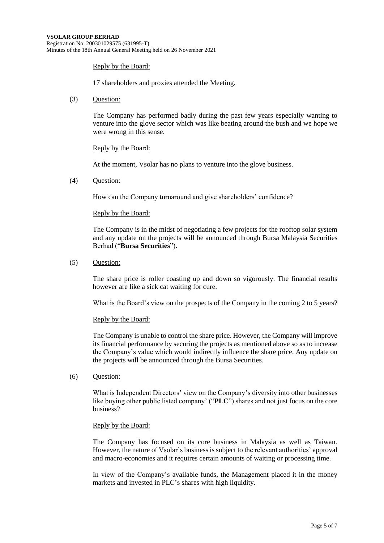#### Reply by the Board:

17 shareholders and proxies attended the Meeting.

(3) Question:

The Company has performed badly during the past few years especially wanting to venture into the glove sector which was like beating around the bush and we hope we were wrong in this sense.

#### Reply by the Board:

At the moment, Vsolar has no plans to venture into the glove business.

(4) Question:

How can the Company turnaround and give shareholders' confidence?

#### Reply by the Board:

The Company is in the midst of negotiating a few projects for the rooftop solar system and any update on the projects will be announced through Bursa Malaysia Securities Berhad ("**Bursa Securities**").

(5) Question:

The share price is roller coasting up and down so vigorously. The financial results however are like a sick cat waiting for cure.

What is the Board's view on the prospects of the Company in the coming 2 to 5 years?

#### Reply by the Board:

The Company is unable to control the share price. However, the Company will improve its financial performance by securing the projects as mentioned above so as to increase the Company's value which would indirectly influence the share price. Any update on the projects will be announced through the Bursa Securities.

(6) Question:

What is Independent Directors' view on the Company's diversity into other businesses like buying other public listed company' ("**PLC**") shares and not just focus on the core business?

#### Reply by the Board:

The Company has focused on its core business in Malaysia as well as Taiwan. However, the nature of Vsolar's business is subject to the relevant authorities' approval and macro-economies and it requires certain amounts of waiting or processing time.

In view of the Company's available funds, the Management placed it in the money markets and invested in PLC's shares with high liquidity.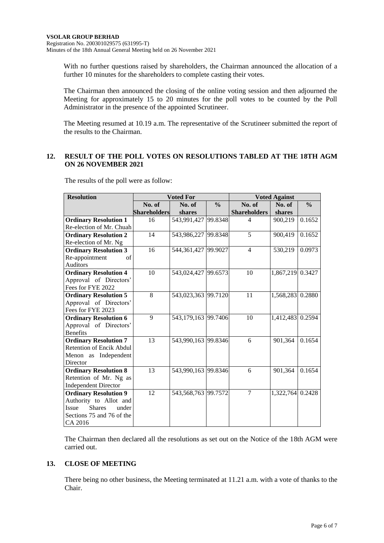With no further questions raised by shareholders, the Chairman announced the allocation of a further 10 minutes for the shareholders to complete casting their votes.

The Chairman then announced the closing of the online voting session and then adjourned the Meeting for approximately 15 to 20 minutes for the poll votes to be counted by the Poll Administrator in the presence of the appointed Scrutineer.

The Meeting resumed at 10.19 a.m. The representative of the Scrutineer submitted the report of the results to the Chairman.

## **12. RESULT OF THE POLL VOTES ON RESOLUTIONS TABLED AT THE 18TH AGM ON 26 NOVEMBER 2021**

The results of the poll were as follow:

| <b>Resolution</b>               |                     | <b>Voted For</b>    |               | <b>Voted Against</b> |                  |               |  |
|---------------------------------|---------------------|---------------------|---------------|----------------------|------------------|---------------|--|
|                                 | No. of              | No. of              | $\frac{0}{0}$ | No. of               | No. of           | $\frac{0}{0}$ |  |
|                                 | <b>Shareholders</b> | shares              |               | <b>Shareholders</b>  | shares           |               |  |
| <b>Ordinary Resolution 1</b>    | 16                  | 543,991,427 99.8348 |               | 4                    | 900,219          | 0.1652        |  |
| Re-election of Mr. Chuah        |                     |                     |               |                      |                  |               |  |
| <b>Ordinary Resolution 2</b>    | 14                  | 543,986,227 99.8348 |               | 5                    | 900,419          | 0.1652        |  |
| Re-election of Mr. Ng           |                     |                     |               |                      |                  |               |  |
| <b>Ordinary Resolution 3</b>    | 16                  | 544,361,427 99.9027 |               | $\overline{4}$       | 530,219          | 0.0973        |  |
| Re-appointment<br>of            |                     |                     |               |                      |                  |               |  |
| <b>Auditors</b>                 |                     |                     |               |                      |                  |               |  |
| <b>Ordinary Resolution 4</b>    | 10                  | 543,024,427 99.6573 |               | 10                   | 1,867,219 0.3427 |               |  |
| Approval of Directors'          |                     |                     |               |                      |                  |               |  |
| Fees for FYE 2022               |                     |                     |               |                      |                  |               |  |
| <b>Ordinary Resolution 5</b>    | 8                   | 543,023,363 99.7120 |               | 11                   | 1,568,283 0.2880 |               |  |
| Approval of Directors'          |                     |                     |               |                      |                  |               |  |
| Fees for FYE 2023               |                     |                     |               |                      |                  |               |  |
| <b>Ordinary Resolution 6</b>    | 9                   | 543,179,163 99.7406 |               | 10                   | 1,412,483 0.2594 |               |  |
| Approval of Directors'          |                     |                     |               |                      |                  |               |  |
| <b>Benefits</b>                 |                     |                     |               |                      |                  |               |  |
| <b>Ordinary Resolution 7</b>    | 13                  | 543,990,163 99.8346 |               | 6                    | 901,364          | 0.1654        |  |
| <b>Retention of Encik Abdul</b> |                     |                     |               |                      |                  |               |  |
| Menon as Independent            |                     |                     |               |                      |                  |               |  |
| Director                        |                     |                     |               |                      |                  |               |  |
| <b>Ordinary Resolution 8</b>    | 13                  | 543,990,163 99.8346 |               | 6                    | 901,364          | 0.1654        |  |
| Retention of Mr. Ng as          |                     |                     |               |                      |                  |               |  |
| <b>Independent Director</b>     |                     |                     |               |                      |                  |               |  |
| <b>Ordinary Resolution 9</b>    | 12                  | 543,568,763 99.7572 |               | $\overline{7}$       | 1,322,764 0.2428 |               |  |
| Authority to Allot and          |                     |                     |               |                      |                  |               |  |
| <b>Shares</b><br>under<br>Issue |                     |                     |               |                      |                  |               |  |
| Sections 75 and 76 of the       |                     |                     |               |                      |                  |               |  |
| CA 2016                         |                     |                     |               |                      |                  |               |  |

The Chairman then declared all the resolutions as set out on the Notice of the 18th AGM were carried out.

## **13. CLOSE OF MEETING**

There being no other business, the Meeting terminated at 11.21 a.m. with a vote of thanks to the Chair.